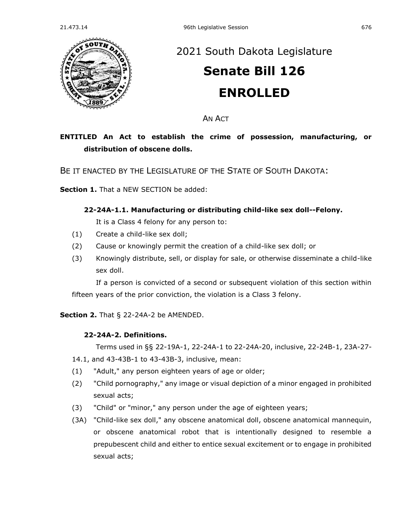

# [2021 South Dakota Legislature](https://sdlegislature.gov/Session/Bills/44) **[Senate Bill 126](https://sdlegislature.gov/Session/Bill/22193) ENROLLED**

AN ACT

# **ENTITLED An Act to establish the crime of possession, manufacturing, or distribution of obscene dolls.**

BE IT ENACTED BY THE LEGISLATURE OF THE STATE OF SOUTH DAKOTA:

**Section 1.** That a NEW SECTION be added:

### **22-24A-1.1. Manufacturing or distributing child-like sex doll--Felony.**

It is a Class 4 felony for any person to:

- (1) Create a child-like sex doll;
- (2) Cause or knowingly permit the creation of a child-like sex doll; or
- (3) Knowingly distribute, sell, or display for sale, or otherwise disseminate a child-like sex doll.

If a person is convicted of a second or subsequent violation of this section within fifteen years of the prior conviction, the violation is a Class 3 felony.

**Section 2.** [That § 22-24A-2 be AMENDED.](https://sdlegislature.gov/Statutes/Codified_Laws/2047412)

### **[22-24A-2. D](https://sdlegislature.gov/Statutes/Codified_Laws/DisplayStatute.aspx?Type=Statute&Statute=22-24A-2)efinitions.**

Terms used in §§ [22-19A-1,](https://sdlegislature.gov/Statutes/Codified_Laws/DisplayStatute.aspx?Type=Statute&Statute=22-19A-1) [22-24A-1](https://sdlegislature.gov/Statutes/Codified_Laws/DisplayStatute.aspx?Type=Statute&Statute=22-24A-1) to [22-24A-20,](https://sdlegislature.gov/Statutes/Codified_Laws/DisplayStatute.aspx?Type=Statute&Statute=22-24A-20) inclusive, [22-24B-1,](https://sdlegislature.gov/Statutes/Codified_Laws/DisplayStatute.aspx?Type=Statute&Statute=22-24B-1) [23A-27-](https://sdlegislature.gov/Statutes/Codified_Laws/DisplayStatute.aspx?Type=Statute&Statute=23A-27-14.1)

- [14.1,](https://sdlegislature.gov/Statutes/Codified_Laws/DisplayStatute.aspx?Type=Statute&Statute=23A-27-14.1) and [43-43B-1](https://sdlegislature.gov/Statutes/Codified_Laws/DisplayStatute.aspx?Type=Statute&Statute=43-43B-1) to [43-43B-3,](https://sdlegislature.gov/Statutes/Codified_Laws/DisplayStatute.aspx?Type=Statute&Statute=43-43B-3) inclusive, mean:
- (1) "Adult," any person eighteen years of age or older;
- (2) "Child pornography," any image or visual depiction of a minor engaged in prohibited sexual acts;
- (3) "Child" or "minor," any person under the age of eighteen years;
- (3A) "Child-like sex doll," any obscene anatomical doll, obscene anatomical mannequin, or obscene anatomical robot that is intentionally designed to resemble a prepubescent child and either to entice sexual excitement or to engage in prohibited sexual acts;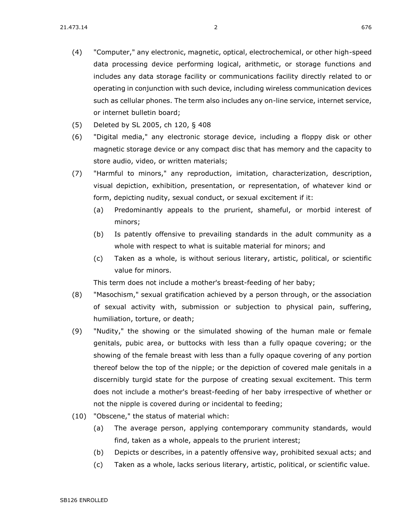- (4) "Computer," any electronic, magnetic, optical, electrochemical, or other high-speed data processing device performing logical, arithmetic, or storage functions and includes any data storage facility or communications facility directly related to or operating in conjunction with such device, including wireless communication devices such as cellular phones. The term also includes any on-line service, internet service, or internet bulletin board;
- (5) Deleted by SL 2005, ch 120, § 408
- (6) "Digital media," any electronic storage device, including a floppy disk or other magnetic storage device or any compact disc that has memory and the capacity to store audio, video, or written materials;
- (7) "Harmful to minors," any reproduction, imitation, characterization, description, visual depiction, exhibition, presentation, or representation, of whatever kind or form, depicting nudity, sexual conduct, or sexual excitement if it:
	- (a) Predominantly appeals to the prurient, shameful, or morbid interest of minors;
	- (b) Is patently offensive to prevailing standards in the adult community as a whole with respect to what is suitable material for minors; and
	- (c) Taken as a whole, is without serious literary, artistic, political, or scientific value for minors.

This term does not include a mother's breast-feeding of her baby;

- (8) "Masochism," sexual gratification achieved by a person through, or the association of sexual activity with, submission or subjection to physical pain, suffering, humiliation, torture, or death;
- (9) "Nudity," the showing or the simulated showing of the human male or female genitals, pubic area, or buttocks with less than a fully opaque covering; or the showing of the female breast with less than a fully opaque covering of any portion thereof below the top of the nipple; or the depiction of covered male genitals in a discernibly turgid state for the purpose of creating sexual excitement. This term does not include a mother's breast-feeding of her baby irrespective of whether or not the nipple is covered during or incidental to feeding;
- (10) "Obscene," the status of material which:
	- (a) The average person, applying contemporary community standards, would find, taken as a whole, appeals to the prurient interest;
	- (b) Depicts or describes, in a patently offensive way, prohibited sexual acts; and
	- (c) Taken as a whole, lacks serious literary, artistic, political, or scientific value.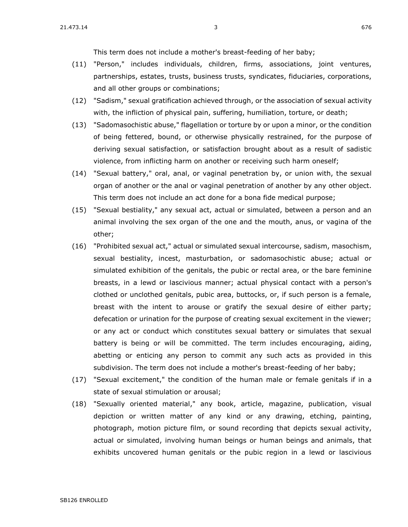This term does not include a mother's breast-feeding of her baby;

- (11) "Person," includes individuals, children, firms, associations, joint ventures, partnerships, estates, trusts, business trusts, syndicates, fiduciaries, corporations, and all other groups or combinations;
- (12) "Sadism," sexual gratification achieved through, or the association of sexual activity with, the infliction of physical pain, suffering, humiliation, torture, or death;
- (13) "Sadomasochistic abuse," flagellation or torture by or upon a minor, or the condition of being fettered, bound, or otherwise physically restrained, for the purpose of deriving sexual satisfaction, or satisfaction brought about as a result of sadistic violence, from inflicting harm on another or receiving such harm oneself;
- (14) "Sexual battery," oral, anal, or vaginal penetration by, or union with, the sexual organ of another or the anal or vaginal penetration of another by any other object. This term does not include an act done for a bona fide medical purpose;
- (15) "Sexual bestiality," any sexual act, actual or simulated, between a person and an animal involving the sex organ of the one and the mouth, anus, or vagina of the other;
- (16) "Prohibited sexual act," actual or simulated sexual intercourse, sadism, masochism, sexual bestiality, incest, masturbation, or sadomasochistic abuse; actual or simulated exhibition of the genitals, the pubic or rectal area, or the bare feminine breasts, in a lewd or lascivious manner; actual physical contact with a person's clothed or unclothed genitals, pubic area, buttocks, or, if such person is a female, breast with the intent to arouse or gratify the sexual desire of either party; defecation or urination for the purpose of creating sexual excitement in the viewer; or any act or conduct which constitutes sexual battery or simulates that sexual battery is being or will be committed. The term includes encouraging, aiding, abetting or enticing any person to commit any such acts as provided in this subdivision. The term does not include a mother's breast-feeding of her baby;
- (17) "Sexual excitement," the condition of the human male or female genitals if in a state of sexual stimulation or arousal;
- (18) "Sexually oriented material," any book, article, magazine, publication, visual depiction or written matter of any kind or any drawing, etching, painting, photograph, motion picture film, or sound recording that depicts sexual activity, actual or simulated, involving human beings or human beings and animals, that exhibits uncovered human genitals or the pubic region in a lewd or lascivious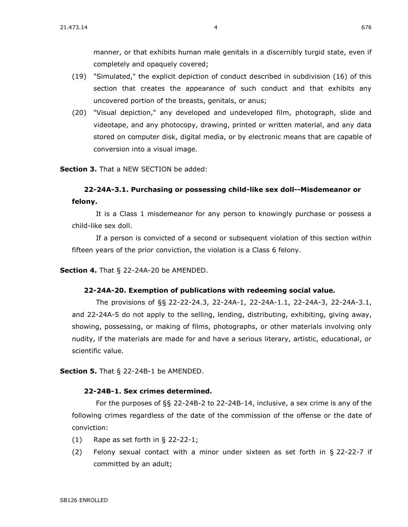manner, or that exhibits human male genitals in a discernibly turgid state, even if completely and opaquely covered;

- (19) "Simulated," the explicit depiction of conduct described in subdivision (16) of this section that creates the appearance of such conduct and that exhibits any uncovered portion of the breasts, genitals, or anus;
- (20) "Visual depiction," any developed and undeveloped film, photograph, slide and videotape, and any photocopy, drawing, printed or written material, and any data stored on computer disk, digital media, or by electronic means that are capable of conversion into a visual image.

**Section 3.** That a NEW SECTION be added:

## **22-24A-3.1. Purchasing or possessing child-like sex doll--Misdemeanor or felony.**

It is a Class 1 misdemeanor for any person to knowingly purchase or possess a child-like sex doll.

If a person is convicted of a second or subsequent violation of this section within fifteen years of the prior conviction, the violation is a Class 6 felony.

**Section 4.** [That § 22-24A-20 be AMENDED.](https://sdlegislature.gov/Statutes/Codified_Laws/2047431)

#### **[22-24A-20. E](https://sdlegislature.gov/Statutes/Codified_Laws/DisplayStatute.aspx?Type=Statute&Statute=22-24A-20)xemption of publications with redeeming social value.**

The provisions of §§ [22-22-24.3,](https://sdlegislature.gov/Statutes/Codified_Laws/DisplayStatute.aspx?Type=Statute&Statute=22-22-24.3) [22-24A-1,](https://sdlegislature.gov/Statutes/Codified_Laws/DisplayStatute.aspx?Type=Statute&Statute=22-24A-1) 22-24A-1.1, [22-24A-3,](https://sdlegislature.gov/Statutes/Codified_Laws/DisplayStatute.aspx?Type=Statute&Statute=22-24A-3) 22-24A-3.1, and [22-24A-5](https://sdlegislature.gov/Statutes/Codified_Laws/DisplayStatute.aspx?Type=Statute&Statute=22-24A-5) do not apply to the selling, lending, distributing, exhibiting, giving away, showing, possessing, or making of films, photographs, or other materials involving only nudity, if the materials are made for and have a serious literary, artistic, educational, or scientific value.

**Section 5.** [That § 22-24B-1 be AMENDED.](https://sdlegislature.gov/Statutes/Codified_Laws/2047434)

#### **[22-24B-1. S](https://sdlegislature.gov/Statutes/Codified_Laws/DisplayStatute.aspx?Type=Statute&Statute=22-24B-1)ex crimes determined.**

For the purposes of §§ [22-24B-2](https://sdlegislature.gov/Statutes/Codified_Laws/DisplayStatute.aspx?Type=Statute&Statute=22-24B-2) to [22-24B-14,](https://sdlegislature.gov/Statutes/Codified_Laws/DisplayStatute.aspx?Type=Statute&Statute=22-24B-14) inclusive, a sex crime is any of the following crimes regardless of the date of the commission of the offense or the date of conviction:

- (1) Rape as set forth in § [22-22-1;](https://sdlegislature.gov/Statutes/Codified_Laws/DisplayStatute.aspx?Type=Statute&Statute=22-22-1)
- (2) Felony sexual contact with a minor under sixteen as set forth in § [22-22-7](https://sdlegislature.gov/Statutes/Codified_Laws/DisplayStatute.aspx?Type=Statute&Statute=22-22-7) if committed by an adult;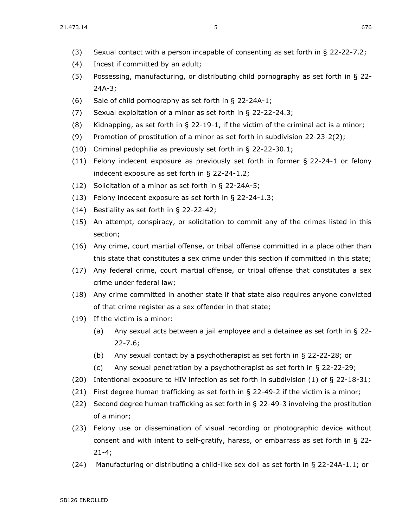- (3) Sexual contact with a person incapable of consenting as set forth in § [22-22-7.2;](https://sdlegislature.gov/Statutes/Codified_Laws/DisplayStatute.aspx?Type=Statute&Statute=22-22-7.2)
- (4) Incest if committed by an adult;
- (5) Possessing, manufacturing, or distributing child pornography as set forth in § [22-](https://sdlegislature.gov/Statutes/Codified_Laws/DisplayStatute.aspx?Type=Statute&Statute=22-24A-3) [24A-3;](https://sdlegislature.gov/Statutes/Codified_Laws/DisplayStatute.aspx?Type=Statute&Statute=22-24A-3)
- (6) Sale of child pornography as set forth in § [22-24A-1;](https://sdlegislature.gov/Statutes/Codified_Laws/DisplayStatute.aspx?Type=Statute&Statute=22-24A-1)
- (7) Sexual exploitation of a minor as set forth in § [22-22-24.3;](https://sdlegislature.gov/Statutes/Codified_Laws/DisplayStatute.aspx?Type=Statute&Statute=22-22-24.3)
- (8) Kidnapping, as set forth in  $\S$  [22-19-1,](https://sdlegislature.gov/Statutes/Codified_Laws/DisplayStatute.aspx?Type=Statute&Statute=22-19-1) if the victim of the criminal act is a minor;
- (9) Promotion of prostitution of a minor as set forth in subdivision [22-23-2\(](https://sdlegislature.gov/Statutes/Codified_Laws/DisplayStatute.aspx?Type=Statute&Statute=22-23-2)2);
- (10) Criminal pedophilia as previously set forth in § [22-22-30.1;](https://sdlegislature.gov/Statutes/Codified_Laws/DisplayStatute.aspx?Type=Statute&Statute=22-22-30.1)
- (11) Felony indecent exposure as previously set forth in former § [22-24-1](https://sdlegislature.gov/Statutes/Codified_Laws/DisplayStatute.aspx?Type=Statute&Statute=22-24-1) or felony indecent exposure as set forth in § [22-24-1.2;](https://sdlegislature.gov/Statutes/Codified_Laws/DisplayStatute.aspx?Type=Statute&Statute=22-24-1.2)
- (12) Solicitation of a minor as set forth in § [22-24A-5;](https://sdlegislature.gov/Statutes/Codified_Laws/DisplayStatute.aspx?Type=Statute&Statute=22-24A-5)
- (13) Felony indecent exposure as set forth in § [22-24-1.3;](https://sdlegislature.gov/Statutes/Codified_Laws/DisplayStatute.aspx?Type=Statute&Statute=22-24-1.3)
- (14) Bestiality as set forth in § [22-22-42;](https://sdlegislature.gov/Statutes/Codified_Laws/DisplayStatute.aspx?Type=Statute&Statute=22-22-42)
- (15) An attempt, conspiracy, or solicitation to commit any of the crimes listed in this section;
- (16) Any crime, court martial offense, or tribal offense committed in a place other than this state that constitutes a sex crime under this section if committed in this state;
- (17) Any federal crime, court martial offense, or tribal offense that constitutes a sex crime under federal law;
- (18) Any crime committed in another state if that state also requires anyone convicted of that crime register as a sex offender in that state;
- (19) If the victim is a minor:
	- (a) Any sexual acts between a jail employee and a detainee as set forth in § [22-](https://sdlegislature.gov/Statutes/Codified_Laws/DisplayStatute.aspx?Type=Statute&Statute=22-22-7.6) [22-7.6;](https://sdlegislature.gov/Statutes/Codified_Laws/DisplayStatute.aspx?Type=Statute&Statute=22-22-7.6)
	- (b) Any sexual contact by a psychotherapist as set forth in § [22-22-28;](https://sdlegislature.gov/Statutes/Codified_Laws/DisplayStatute.aspx?Type=Statute&Statute=22-22-28) or
	- (c) Any sexual penetration by a psychotherapist as set forth in § [22-22-29;](https://sdlegislature.gov/Statutes/Codified_Laws/DisplayStatute.aspx?Type=Statute&Statute=22-22-29)
- (20) Intentional exposure to HIV infection as set forth in subdivision (1) of § [22-18-31;](https://sdlegislature.gov/Statutes/Codified_Laws/DisplayStatute.aspx?Type=Statute&Statute=22-18-31)
- (21) First degree human trafficking as set forth in  $\S$  [22-49-2](https://sdlegislature.gov/Statutes/Codified_Laws/DisplayStatute.aspx?Type=Statute&Statute=22-49-2) if the victim is a minor;
- (22) Second degree human trafficking as set forth in § [22-49-3](https://sdlegislature.gov/Statutes/Codified_Laws/DisplayStatute.aspx?Type=Statute&Statute=22-49-3) involving the prostitution of a minor;
- (23) Felony use or dissemination of visual recording or photographic device without consent and with intent to self-gratify, harass, or embarrass as set forth in § [22-](https://sdlegislature.gov/Statutes/Codified_Laws/DisplayStatute.aspx?Type=Statute&Statute=22-21-4) [21-4;](https://sdlegislature.gov/Statutes/Codified_Laws/DisplayStatute.aspx?Type=Statute&Statute=22-21-4)
- (24) Manufacturing or distributing a child-like sex doll as set forth in § 22-24A-1.1; or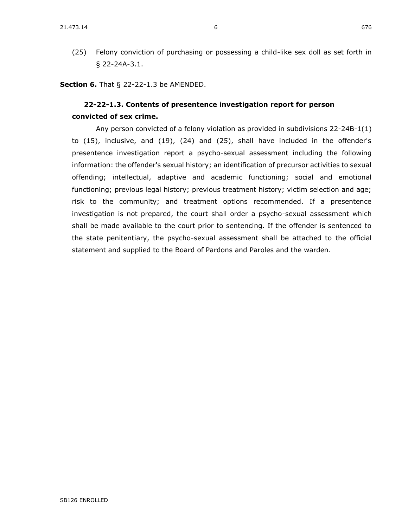(25) Felony conviction of purchasing or possessing a child-like sex doll as set forth in § 22-24A-3.1.

**Section 6.** [That § 22-22-1.3 be AMENDED.](https://sdlegislature.gov/Statutes/Codified_Laws/2047301)

## **[22-22-1.3. C](https://sdlegislature.gov/Statutes/Codified_Laws/DisplayStatute.aspx?Type=Statute&Statute=22-22-1.3)ontents of presentence investigation report for person convicted of sex crime.**

Any person convicted of a felony violation as provided in subdivisions [22-24B-1\(](https://sdlegislature.gov/Statutes/Codified_Laws/DisplayStatute.aspx?Type=Statute&Statute=22-24B-1)1) to (15), inclusive, and (19), (24) and (25), shall have included in the offender's presentence investigation report a psycho-sexual assessment including the following information: the offender's sexual history; an identification of precursor activities to sexual offending; intellectual, adaptive and academic functioning; social and emotional functioning; previous legal history; previous treatment history; victim selection and age; risk to the community; and treatment options recommended. If a presentence investigation is not prepared, the court shall order a psycho-sexual assessment which shall be made available to the court prior to sentencing. If the offender is sentenced to the state penitentiary, the psycho-sexual assessment shall be attached to the official statement and supplied to the Board of Pardons and Paroles and the warden.